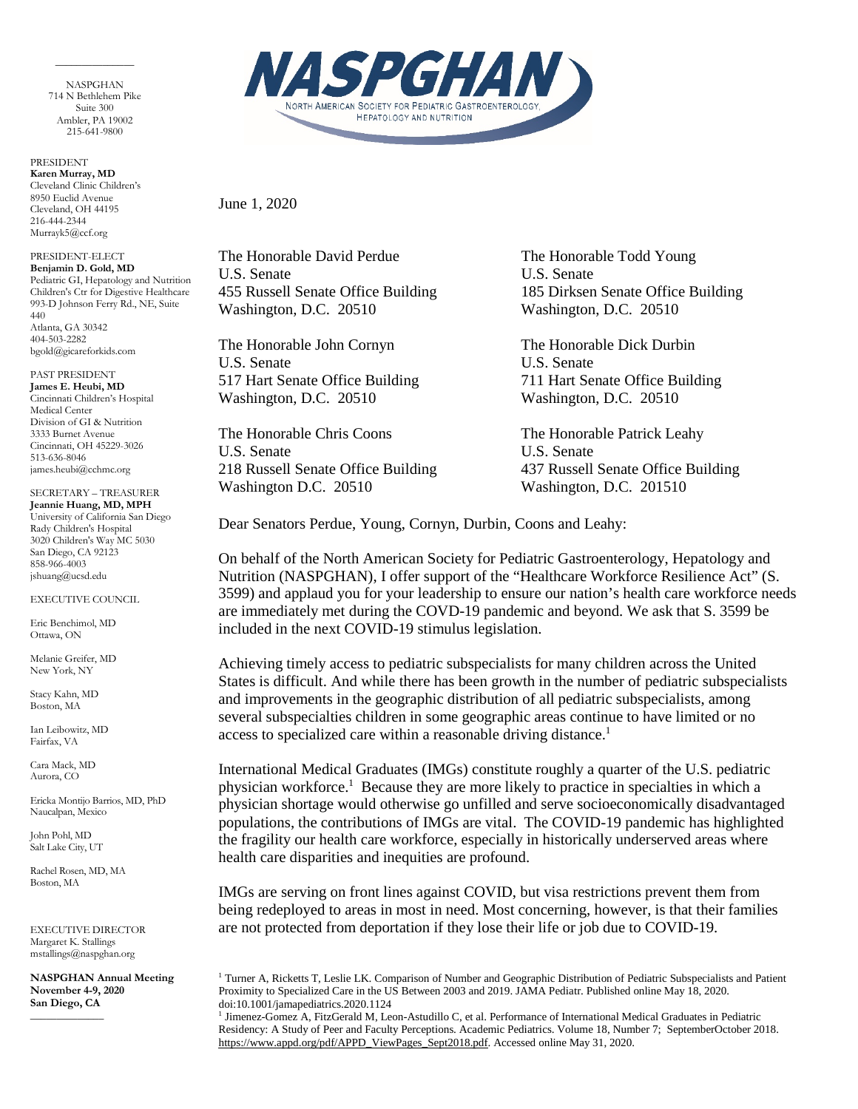NASPGHAN 714 N Bethlehem Pike Suite 300 Ambler, PA 19002 215-641-9800

 $\overline{\phantom{a}}$  . The contract of the contract of  $\overline{\phantom{a}}$ 

PRESIDENT **Karen Murray, MD** Cleveland Clinic Children's 8950 Euclid Avenue Cleveland, OH 44195 216-444-2344 Murrayk5@ccf.org

PRESIDENT-ELECT **Benjamin D. Gold, MD** Pediatric GI, Hepatology and Nutrition Children's Ctr for Digestive Healthcare 993-D Johnson Ferry Rd., NE, Suite 440 Atlanta, GA 30342 404-503-2282 bgold@gicareforkids.com

PAST PRESIDENT **James E. Heubi, MD** Cincinnati Children's Hospital Medical Center Division of GI & Nutrition 3333 Burnet Avenue Cincinnati, OH 45229-3026 513-636-8046 james.heubi@cchmc.org

SECRETARY – TREASURER **Jeannie Huang, MD, MPH** University of California San Diego Rady Children's Hospital 3020 Children's Way MC 5030 San Diego, CA 92123 858-966-4003

jshuang@ucsd.edu

EXECUTIVE COUNCIL

Eric Benchimol, MD Ottawa, ON

Melanie Greifer, MD New York, NY

Stacy Kahn, MD Boston, MA

Ian Leibowitz, MD Fairfax, VA

Cara Mack, MD Aurora, CO

Ericka Montijo Barrios, MD, PhD Naucalpan, Mexico

John Pohl, MD Salt Lake City, UT

\_\_\_\_\_\_\_\_\_\_\_\_\_\_

Rachel Rosen, MD, MA Boston, MA

EXECUTIVE DIRECTOR Margaret K. Stallings mstallings@naspghan.org

**NASPGHAN Annual Meeting November 4-9, 2020 San Diego, CA**



June 1, 2020

The Honorable David Perdue The Honorable Todd Young U.S. Senate U.S. Senate Washington, D.C. 20510 Washington, D.C. 20510

The Honorable John Cornyn The Honorable Dick Durbin U.S. Senate U.S. Senate Washington, D.C. 20510 Washington, D.C. 20510

The Honorable Chris Coons The Honorable Patrick Leahy U.S. Senate U.S. Senate Washington D.C. 20510 Washington, D.C. 201510

455 Russell Senate Office Building 185 Dirksen Senate Office Building

517 Hart Senate Office Building 711 Hart Senate Office Building

218 Russell Senate Office Building 437 Russell Senate Office Building

Dear Senators Perdue, Young, Cornyn, Durbin, Coons and Leahy:

On behalf of the North American Society for Pediatric Gastroenterology, Hepatology and Nutrition (NASPGHAN), I offer support of the "Healthcare Workforce Resilience Act" (S. 3599) and applaud you for your leadership to ensure our nation's health care workforce needs are immediately met during the COVD-19 pandemic and beyond. We ask that S. 3599 be included in the next COVID-19 stimulus legislation.

Achieving timely access to pediatric subspecialists for many children across the United States is difficult. And while there has been growth in the number of pediatric subspecialists and improvements in the geographic distribution of all pediatric subspecialists, among several subspecialties children in some geographic areas continue to have limited or no access to specialized care within a reasonable driving distance.<sup>1</sup>

International Medical Graduates (IMGs) constitute roughly a quarter of the U.S. pediatric physician workforce.<sup>1</sup> Because they are more likely to practice in specialties in which a physician shortage would otherwise go unfilled and serve socioeconomically disadvantaged populations, the contributions of IMGs are vital. The COVID-19 pandemic has highlighted the fragility our health care workforce, especially in historically underserved areas where health care disparities and inequities are profound.

IMGs are serving on front lines against COVID, but visa restrictions prevent them from being redeployed to areas in most in need. Most concerning, however, is that their families are not protected from deportation if they lose their life or job due to COVID-19.

<sup>1</sup> Turner A, Ricketts T, Leslie LK. Comparison of Number and Geographic Distribution of Pediatric Subspecialists and Patient Proximity to Specialized Care in the US Between 2003 and 2019. JAMA Pediatr. Published online May 18, 2020. doi:10.1001/jamapediatrics.2020.1124

<sup>1</sup> Jimenez-Gomez A, FitzGerald M, Leon-Astudillo C, et al. Performance of International Medical Graduates in Pediatric Residency: A Study of Peer and Faculty Perceptions. Academic Pediatrics. Volume 18, Number 7; SeptemberOctober 2018. [https://www.appd.org/pdf/APPD\\_ViewPages\\_Sept2018.pdf.](https://www.appd.org/pdf/APPD_ViewPages_Sept2018.pdf) Accessed online May 31, 2020.